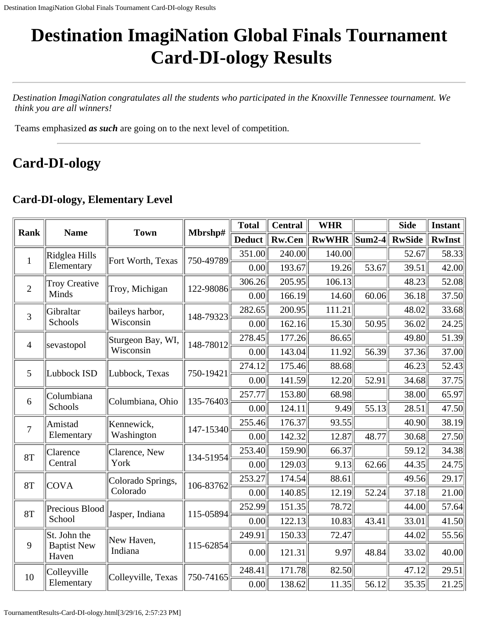# **Destination ImagiNation Global Finals Tournament Card-DI-ology Results**

*Destination ImagiNation congratulates all the students who participated in the Knoxville Tennessee tournament. We think you are all winners!*

Teams emphasized *as such* are going on to the next level of competition.

## **Card-DI-ology**

#### **Card-DI-ology, Elementary Level**

| <b>Rank</b>    | <b>Name</b>                 | <b>Town</b>        | Mbrshp#   | <b>Total</b>  | <b>Central</b> | <b>WHR</b>   |                                       | <b>Side</b>   | <b>Instant</b> |
|----------------|-----------------------------|--------------------|-----------|---------------|----------------|--------------|---------------------------------------|---------------|----------------|
|                |                             |                    |           | <b>Deduct</b> | <b>Rw.Cen</b>  | <b>RwWHR</b> | $\left\Vert \text{Sum2-4}\right\Vert$ | <b>RwSide</b> | <b>RwInst</b>  |
| $\mathbf{1}$   | Ridglea Hills               | Fort Worth, Texas  | 750-49789 | 351.00        | 240.00         | 140.00       |                                       | 52.67         | 58.33          |
|                | Elementary                  |                    |           | 0.00          | 193.67         | 19.26        | 53.67                                 | 39.51         | 42.00          |
| $\overline{2}$ | <b>Troy Creative</b>        | Troy, Michigan     | 122-98086 | 306.26        | 205.95         | 106.13       |                                       | 48.23         | 52.08          |
|                | Minds                       |                    |           | 0.00          | 166.19         | 14.60        | 60.06                                 | 36.18         | 37.50          |
| 3              | Gibraltar                   | baileys harbor,    | 148-79323 | 282.65        | 200.95         | 111.21       |                                       | 48.02         | 33.68          |
|                | Schools                     | Wisconsin          |           | 0.00          | 162.16         | 15.30        | 50.95                                 | 36.02         | 24.25          |
| $\overline{4}$ | sevastopol                  | Sturgeon Bay, WI,  | 148-78012 | 278.45        | 177.26         | 86.65        |                                       | 49.80         | 51.39          |
|                |                             | Wisconsin          |           | 0.00          | 143.04         | 11.92        | 56.39                                 | 37.36         | 37.00          |
| 5              | Lubbock ISD                 | Lubbock, Texas     | 750-19421 | 274.12        | 175.46         | 88.68        |                                       | 46.23         | 52.43          |
|                |                             |                    |           | 0.00          | 141.59         | 12.20        | 52.91                                 | 34.68         | 37.75          |
| 6              | Columbiana                  | Columbiana, Ohio   | 135-76403 | 257.77        | 153.80         | 68.98        |                                       | 38.00         | 65.97          |
|                | Schools                     |                    |           | 0.00          | 124.11         | 9.49         | 55.13                                 | 28.51         | 47.50          |
| $\overline{7}$ | Amistad                     | Kennewick,         | 147-15340 | 255.46        | 176.37         | 93.55        |                                       | 40.90         | 38.19          |
|                | Elementary                  | Washington         |           | 0.00          | 142.32         | 12.87        | 48.77                                 | 30.68         | 27.50          |
| <b>8T</b>      | Clarence                    | Clarence, New      | 134-51954 | 253.40        | 159.90         | 66.37        |                                       | 59.12         | 34.38          |
|                | Central                     | York               |           | 0.00          | 129.03         | 9.13         | 62.66                                 | 44.35         | 24.75          |
| <b>8T</b>      | <b>COVA</b>                 | Colorado Springs,  | 106-83762 | 253.27        | 174.54         | 88.61        |                                       | 49.56         | 29.17          |
|                |                             | Colorado           |           | 0.00          | 140.85         | 12.19        | 52.24                                 | 37.18         | 21.00          |
| <b>8T</b>      | Precious Blood              | Jasper, Indiana    | 115-05894 | 252.99        | 151.35         | 78.72        |                                       | 44.00         | 57.64          |
|                | School                      |                    |           | 0.00          | 122.13         | 10.83        | 43.41                                 | 33.01         | 41.50          |
|                | St. John the                | New Haven,         |           | 249.91        | 150.33         | 72.47        |                                       | 44.02         | 55.56          |
| 9              | <b>Baptist New</b><br>Haven | Indiana            | 115-62854 | 0.00          | 121.31         | 9.97         | 48.84                                 | 33.02         | 40.00          |
| 10             | Colleyville                 | Colleyville, Texas | 750-74165 | 248.41        | 171.78         | 82.50        |                                       | 47.12         | 29.51          |
|                | Elementary                  |                    |           | 0.00          | 138.62         | 11.35        | 56.12                                 | 35.35         | 21.25          |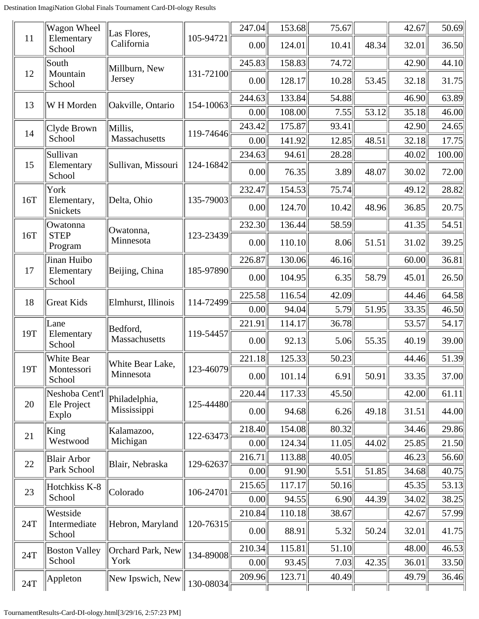|        | Wagon Wheel             | Las Flores,        |           | 247.04 | 153.68 | 75.67 |       | 42.67 | 50.69  |
|--------|-------------------------|--------------------|-----------|--------|--------|-------|-------|-------|--------|
| 11     | Elementary<br>School    | California         | 105-94721 | 0.00   | 124.01 | 10.41 | 48.34 | 32.01 | 36.50  |
|        | South                   | Millburn, New      |           | 245.83 | 158.83 | 74.72 |       | 42.90 | 44.10  |
| 12     | Mountain<br>School      | Jersey             | 131-72100 | 0.00   | 128.17 | 10.28 | 53.45 | 32.18 | 31.75  |
| 13     | W H Morden              | Oakville, Ontario  | 154-10063 | 244.63 | 133.84 | 54.88 |       | 46.90 | 63.89  |
|        |                         |                    |           | 0.00   | 108.00 | 7.55  | 53.12 | 35.18 | 46.00  |
| 14     | Clyde Brown             | Millis,            | 119-74646 | 243.42 | 175.87 | 93.41 |       | 42.90 | 24.65  |
|        | School                  | Massachusetts      |           | 0.00   | 141.92 | 12.85 | 48.51 | 32.18 | 17.75  |
| 15     | Sullivan<br>Elementary  | Sullivan, Missouri | 124-16842 | 234.63 | 94.61  | 28.28 |       | 40.02 | 100.00 |
|        | School                  |                    |           | 0.00   | 76.35  | 3.89  | 48.07 | 30.02 | 72.00  |
|        | York                    |                    |           | 232.47 | 154.53 | 75.74 |       | 49.12 | 28.82  |
| 16T    | Elementary,<br>Snickets | Delta, Ohio        | 135-79003 | 0.00   | 124.70 | 10.42 | 48.96 | 36.85 | 20.75  |
|        | Owatonna                | Owatonna,          |           | 232.30 | 136.44 | 58.59 |       | 41.35 | 54.51  |
| 16T    | <b>STEP</b><br>Program  | Minnesota          | 123-23439 | 0.00   | 110.10 | 8.06  | 51.51 | 31.02 | 39.25  |
|        | Jinan Huibo             |                    |           | 226.87 | 130.06 | 46.16 |       | 60.00 | 36.81  |
| 17     | Elementary<br>School    | Beijing, China     | 185-97890 | 0.00   | 104.95 | 6.35  | 58.79 | 45.01 | 26.50  |
|        |                         |                    |           | 225.58 | 116.54 | 42.09 |       | 44.46 | 64.58  |
| 18     | <b>Great Kids</b>       | Elmhurst, Illinois | 114-72499 | 0.00   | 94.04  | 5.79  | 51.95 | 33.35 | 46.50  |
|        | Lane                    | Bedford,           |           | 221.91 | 114.17 | 36.78 |       | 53.57 | 54.17  |
| 19T    | Elementary<br>School    | Massachusetts      | 119-54457 | 0.00   | 92.13  | 5.06  | 55.35 | 40.19 | 39.00  |
|        | White Bear              | White Bear Lake,   |           | 221.18 | 125.33 | 50.23 |       | 44.46 | 51.39  |
| 19T    | Montessori<br>School    | Minnesota          | 123-46079 | 0.00   | 101.14 | 6.91  | 50.91 | 33.35 | 37.00  |
|        | Neshoba Cent'l          | Philadelphia,      |           | 220.44 | 117.33 | 45.50 |       | 42.00 | 61.11  |
| 20     | Ele Project<br>Explo    | Mississippi        | 125-44480 | 0.00   | 94.68  | 6.26  | 49.18 | 31.51 | 44.00  |
| 21     | King                    | Kalamazoo,         | 122-63473 | 218.40 | 154.08 | 80.32 |       | 34.46 | 29.86  |
|        | Westwood                | Michigan           |           | 0.00   | 124.34 | 11.05 | 44.02 | 25.85 | 21.50  |
| $22\,$ | <b>Blair Arbor</b>      | Blair, Nebraska    | 129-62637 | 216.71 | 113.88 | 40.05 |       | 46.23 | 56.60  |
|        | Park School             |                    |           | 0.00   | 91.90  | 5.51  | 51.85 | 34.68 | 40.75  |
| 23     | Hotchkiss K-8           | Colorado           | 106-24701 | 215.65 | 117.17 | 50.16 |       | 45.35 | 53.13  |
|        | School                  |                    |           | 0.00   | 94.55  | 6.90  | 44.39 | 34.02 | 38.25  |
|        | Westside                |                    |           | 210.84 | 110.18 | 38.67 |       | 42.67 | 57.99  |
| 24T    | Intermediate<br>School  | Hebron, Maryland   | 120-76315 | 0.00   | 88.91  | 5.32  | 50.24 | 32.01 | 41.75  |
| 24T    | <b>Boston Valley</b>    | Orchard Park, New  | 134-89008 | 210.34 | 115.81 | 51.10 |       | 48.00 | 46.53  |
|        | School                  | York               |           | 0.00   | 93.45  | 7.03  | 42.35 | 36.01 | 33.50  |
| 24T    | Appleton                | New Ipswich, New   | 130-08034 | 209.96 | 123.71 | 40.49 |       | 49.79 | 36.46  |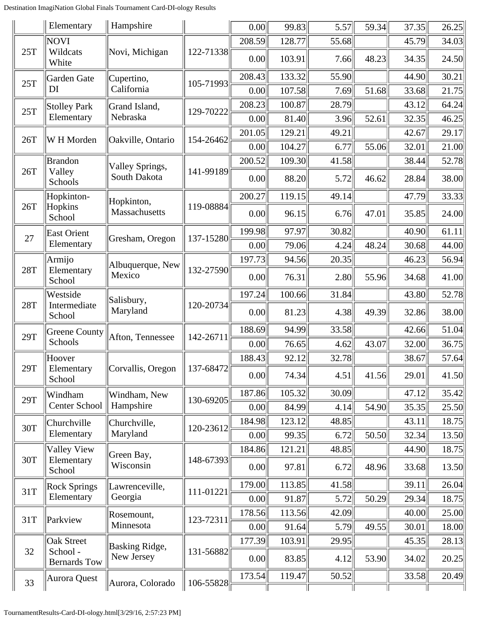|     | Elementary                      | Hampshire             |           | 0.00   | 99.83  | 5.57  | 59.34 | 37.35 | 26.25 |
|-----|---------------------------------|-----------------------|-----------|--------|--------|-------|-------|-------|-------|
|     | NOVI                            |                       |           | 208.59 | 128.77 | 55.68 |       | 45.79 | 34.03 |
| 25T | Wildcats<br>White               | Novi, Michigan        | 122-71338 | 0.00   | 103.91 | 7.66  | 48.23 | 34.35 | 24.50 |
| 25T | Garden Gate                     | Cupertino,            | 105-71993 | 208.43 | 133.32 | 55.90 |       | 44.90 | 30.21 |
|     | DI                              | California            |           | 0.00   | 107.58 | 7.69  | 51.68 | 33.68 | 21.75 |
| 25T | Stolley Park                    | Grand Island,         | 129-70222 | 208.23 | 100.87 | 28.79 |       | 43.12 | 64.24 |
|     | Elementary                      | Nebraska              |           | 0.00   | 81.40  | 3.96  | 52.61 | 32.35 | 46.25 |
| 26T | W H Morden                      | Oakville, Ontario     | 154-26462 | 201.05 | 129.21 | 49.21 |       | 42.67 | 29.17 |
|     |                                 |                       |           | 0.00   | 104.27 | 6.77  | 55.06 | 32.01 | 21.00 |
|     | <b>Brandon</b>                  | Valley Springs,       |           | 200.52 | 109.30 | 41.58 |       | 38.44 | 52.78 |
| 26T | Valley<br>Schools               | South Dakota          | 141-99189 | 0.00   | 88.20  | 5.72  | 46.62 | 28.84 | 38.00 |
|     | Hopkinton-                      | Hopkinton,            |           | 200.27 | 119.15 | 49.14 |       | 47.79 | 33.33 |
| 26T | Hopkins<br>School               | Massachusetts         | 119-08884 | 0.00   | 96.15  | 6.76  | 47.01 | 35.85 | 24.00 |
| 27  | East Orient                     | Gresham, Oregon       | 137-15280 | 199.98 | 97.97  | 30.82 |       | 40.90 | 61.11 |
|     | Elementary                      |                       |           | 0.00   | 79.06  | 4.24  | 48.24 | 30.68 | 44.00 |
|     | Armijo                          | Albuquerque, New      |           | 197.73 | 94.56  | 20.35 |       | 46.23 | 56.94 |
| 28T | Elementary<br>School            | Mexico                | 132-27590 | 0.00   | 76.31  | 2.80  | 55.96 | 34.68 | 41.00 |
|     | Westside                        | Salisbury,            |           | 197.24 | 100.66 | 31.84 |       | 43.80 | 52.78 |
| 28T | Intermediate<br>School          | Maryland              | 120-20734 | 0.00   | 81.23  | 4.38  | 49.39 | 32.86 | 38.00 |
| 29T | Greene County                   | Afton, Tennessee      | 142-26711 | 188.69 | 94.99  | 33.58 |       | 42.66 | 51.04 |
|     | Schools                         |                       |           | 0.00   | 76.65  | 4.62  | 43.07 | 32.00 | 36.75 |
|     | Hoover                          |                       |           | 188.43 | 92.12  | 32.78 |       | 38.67 | 57.64 |
| 29T | Elementary<br>School            | Corvallis, Oregon     | 137-68472 | 0.00   | 74.34  | 4.51  | 41.56 | 29.01 | 41.50 |
| 29T | Windham                         | Windham, New          | 130-69205 | 187.86 | 105.32 | 30.09 |       | 47.12 | 35.42 |
|     | Center School                   | Hampshire             |           | 0.00   | 84.99  | 4.14  | 54.90 | 35.35 | 25.50 |
| 30T | Churchville                     | Churchville,          | 120-23612 | 184.98 | 123.12 | 48.85 |       | 43.11 | 18.75 |
|     | Elementary                      | Maryland              |           | 0.00   | 99.35  | 6.72  | 50.50 | 32.34 | 13.50 |
|     | <b>Valley View</b>              | Green Bay,            |           | 184.86 | 121.21 | 48.85 |       | 44.90 | 18.75 |
| 30T | Elementary<br>School            | Wisconsin             | 148-67393 | 0.00   | 97.81  | 6.72  | 48.96 | 33.68 | 13.50 |
| 31T | <b>Rock Springs</b>             | Lawrenceville,        | 111-01221 | 179.00 | 113.85 | 41.58 |       | 39.11 | 26.04 |
|     | Elementary                      | Georgia               |           | 0.00   | 91.87  | 5.72  | 50.29 | 29.34 | 18.75 |
| 31T | Parkview                        | Rosemount,            | 123-72311 | 178.56 | 113.56 | 42.09 |       | 40.00 | 25.00 |
|     |                                 | Minnesota             |           | 0.00   | 91.64  | 5.79  | 49.55 | 30.01 | 18.00 |
|     | <b>Oak Street</b>               | <b>Basking Ridge,</b> |           | 177.39 | 103.91 | 29.95 |       | 45.35 | 28.13 |
| 32  | School -<br><b>Bernards Tow</b> | New Jersey            | 131-56882 | 0.00   | 83.85  | 4.12  | 53.90 | 34.02 | 20.25 |
| 33  | Aurora Quest                    | Aurora, Colorado      | 106-55828 | 173.54 | 119.47 | 50.52 |       | 33.58 | 20.49 |
|     |                                 |                       |           |        |        |       |       |       |       |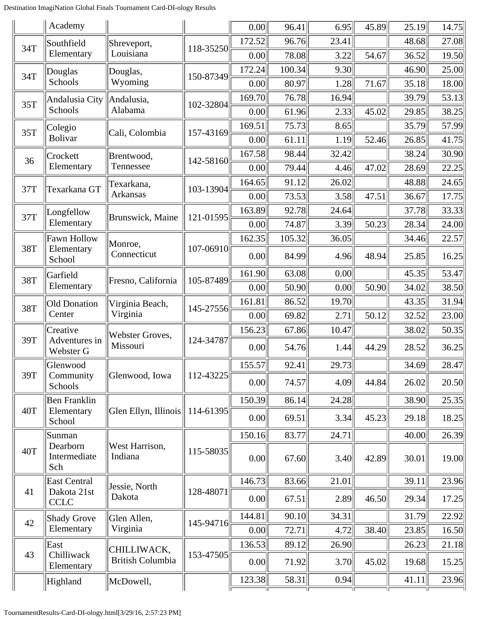|     | Academy                          |                           |                 | 0.00   | 96.41  | 6.95  | 45.89 | 25.19 | 14.75 |
|-----|----------------------------------|---------------------------|-----------------|--------|--------|-------|-------|-------|-------|
| 34T | Southfield                       | Shreveport,               | 118-35250       | 172.52 | 96.76  | 23.41 |       | 48.68 | 27.08 |
|     | Elementary                       | Louisiana                 |                 | 0.00   | 78.08  | 3.22  | 54.67 | 36.52 | 19.50 |
| 34T | Douglas                          | Douglas,                  | 150-87349       | 172.24 | 100.34 | 9.30  |       | 46.90 | 25.00 |
|     | Schools                          | Wyoming                   |                 | 0.00   | 80.97  | 1.28  | 71.67 | 35.18 | 18.00 |
| 35T | Andalusia City                   | Andalusia,                | 102-32804       | 169.70 | 76.78  | 16.94 |       | 39.79 | 53.13 |
|     | Schools                          | Alabama                   |                 | 0.00   | 61.96  | 2.33  | 45.02 | 29.85 | 38.25 |
| 35T | Colegio                          | Cali, Colombia            | 157-43169       | 169.51 | 75.73  | 8.65  |       | 35.79 | 57.99 |
|     | <b>Bolivar</b>                   |                           |                 | 0.00   | 61.11  | 1.19  | 52.46 | 26.85 | 41.75 |
| 36  | Crockett                         | Brentwood,                | 142-58160       | 167.58 | 98.44  | 32.42 |       | 38.24 | 30.90 |
|     | Elementary                       | Tennessee                 |                 | 0.00   | 79.44  | 4.46  | 47.02 | 28.69 | 22.25 |
| 37T | Texarkana GT                     | Texarkana,                | 103-13904       | 164.65 | 91.12  | 26.02 |       | 48.88 | 24.65 |
|     |                                  | Arkansas                  |                 | 0.00   | 73.53  | 3.58  | 47.51 | 36.67 | 17.75 |
| 37T | Longfellow                       | Brunswick, Maine          | 121-01595       | 163.89 | 92.78  | 24.64 |       | 37.78 | 33.33 |
|     | Elementary                       |                           |                 | 0.00   | 74.87  | 3.39  | 50.23 | 28.34 | 24.00 |
| 38T | <b>Fawn Hollow</b><br>Elementary | Monroe,                   | 107-06910       | 162.35 | 105.32 | 36.05 |       | 34.46 | 22.57 |
|     | School                           | Connecticut               |                 | 0.00   | 84.99  | 4.96  | 48.94 | 25.85 | 16.25 |
| 38T | Garfield                         | Fresno, California        | 105-87489       | 161.90 | 63.08  | 0.00  |       | 45.35 | 53.47 |
|     | Elementary                       |                           |                 | 0.00   | 50.90  | 0.00  | 50.90 | 34.02 | 38.50 |
| 38T | <b>Old Donation</b>              | Virginia Beach,           | 145-27556       | 161.81 | 86.52  | 19.70 |       | 43.35 | 31.94 |
|     | Center                           | Virginia                  |                 | 0.00   | 69.82  | 2.71  | 50.12 | 32.52 | 23.00 |
|     | Creative                         | Webster Groves,           |                 | 156.23 | 67.86  | 10.47 |       | 38.02 | 50.35 |
| 39T | Adventures in<br>Webster G       | Missouri                  | 124-34787       | 0.00   | 54.76  | 1.44  | 44.29 | 28.52 | 36.25 |
|     | Glenwood                         |                           |                 | 155.57 | 92.41  | 29.73 |       | 34.69 | 28.47 |
| 39T | Community<br>Schools             | Glenwood, Iowa            | 112-43225       | 0.00   | 74.57  | 4.09  | 44.84 | 26.02 | 20.50 |
|     | <b>Ben Franklin</b>              |                           |                 | 150.39 | 86.14  | 24.28 |       | 38.90 | 25.35 |
| 40T | Elementary<br>School             | Glen Ellyn, Illinois      | $ 114 - 61395 $ | 0.00   | 69.51  | 3.34  | 45.23 | 29.18 | 18.25 |
|     | Sunman                           |                           |                 | 150.16 | 83.77  | 24.71 |       | 40.00 | 26.39 |
| 40T | Dearborn<br>Intermediate<br>Sch  | West Harrison,<br>Indiana | 115-58035       | 0.00   | 67.60  | 3.40  | 42.89 | 30.01 | 19.00 |
|     | <b>East Central</b>              | Jessie, North             |                 | 146.73 | 83.66  | 21.01 |       | 39.11 | 23.96 |
| 41  | Dakota 21st<br><b>CCLC</b>       | Dakota                    | 128-48071       | 0.00   | 67.51  | 2.89  | 46.50 | 29.34 | 17.25 |
|     | <b>Shady Grove</b>               | Glen Allen,               |                 | 144.81 | 90.10  | 34.31 |       | 31.79 | 22.92 |
| 42  | Elementary                       | Virginia                  | 145-94716       | 0.00   | 72.71  | 4.72  | 38.40 | 23.85 | 16.50 |
|     | East                             | CHILLIWACK,               |                 | 136.53 | 89.12  | 26.90 |       | 26.23 | 21.18 |
| 43  | Chilliwack<br>Elementary         | <b>British Columbia</b>   | 153-47505       | 0.00   | 71.92  | 3.70  | 45.02 | 19.68 | 15.25 |
|     | Highland                         | McDowell,                 |                 | 123.38 | 58.31  | 0.94  |       | 41.11 | 23.96 |
|     |                                  |                           |                 |        |        |       |       |       |       |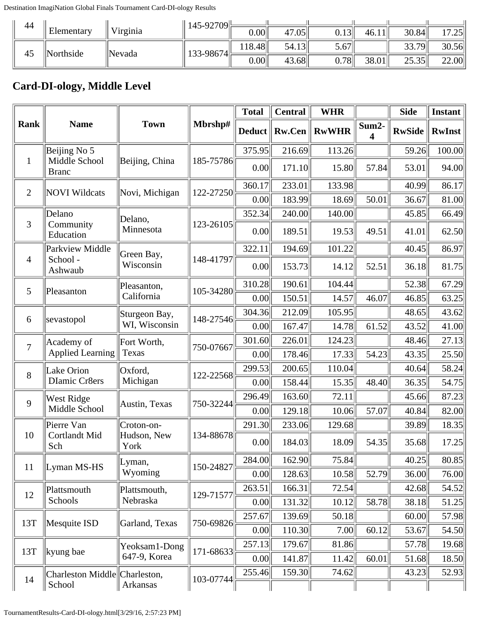| 44 |            |          | $145 - 92709$ |             |       |                                          |       |       |                  |
|----|------------|----------|---------------|-------------|-------|------------------------------------------|-------|-------|------------------|
|    | Elementary | Virginia |               | $0.00\vert$ | 47.05 | $J.13$ <sup><math>\parallel</math></sup> | 46.11 | 30.84 | 17 75I<br>ں گے . |
| 45 | Northside  | Nevada   | 133-98674     | 18.48       | 54.13 | $3.67$ <sup>[1]</sup>                    |       | 33.79 | 30.56            |
|    |            |          |               | $0.00\vert$ | 43.68 | 0.78                                     | 38.01 | 25.35 | 22.00            |

#### **Card-DI-ology, Middle Level**

|                |                                         |                           |           | <b>Total</b>  | <b>Central</b> | <b>WHR</b>   |            | <b>Side</b>   | <b>Instant</b> |
|----------------|-----------------------------------------|---------------------------|-----------|---------------|----------------|--------------|------------|---------------|----------------|
| <b>Rank</b>    | <b>Name</b>                             | <b>Town</b>               | Mbrshp#   | <b>Deduct</b> | <b>Rw.Cen</b>  | <b>RwWHR</b> | Sum2-<br>4 | <b>RwSide</b> | <b>RwInst</b>  |
|                | Beijing No 5                            |                           |           | 375.95        | 216.69         | 113.26       |            | 59.26         | 100.00         |
| $\mathbf{1}$   | Middle School<br><b>Branc</b>           | Beijing, China            | 185-75786 | 0.00          | 171.10         | 15.80        | 57.84      | 53.01         | 94.00          |
| $\overline{2}$ | <b>NOVI Wildcats</b>                    | Novi, Michigan            | 122-27250 | 360.17        | 233.01         | 133.98       |            | 40.99         | 86.17          |
|                |                                         |                           |           | 0.00          | 183.99         | 18.69        | 50.01      | 36.67         | 81.00          |
|                | Delano                                  | Delano,                   |           | 352.34        | 240.00         | 140.00       |            | 45.85         | 66.49          |
| 3              | Community<br>Education                  | Minnesota                 | 123-26105 | 0.00          | 189.51         | 19.53        | 49.51      | 41.01         | 62.50          |
|                | Parkview Middle                         | Green Bay,                |           | 322.11        | 194.69         | 101.22       |            | 40.45         | 86.97          |
| $\overline{4}$ | School-<br>Ashwaub                      | Wisconsin                 | 148-41797 | 0.00          | 153.73         | 14.12        | 52.51      | 36.18         | 81.75          |
| 5              | Pleasanton                              | Pleasanton,               | 105-34280 | 310.28        | 190.61         | 104.44       |            | 52.38         | 67.29          |
|                |                                         | California                |           | 0.00          | 150.51         | 14.57        | 46.07      | 46.85         | 63.25          |
| 6              | sevastopol                              | Sturgeon Bay,             | 148-27546 | 304.36        | 212.09         | 105.95       |            | 48.65         | 43.62          |
|                |                                         | WI, Wisconsin             |           | 0.00          | 167.47         | 14.78        | 61.52      | 43.52         | 41.00          |
| $\overline{7}$ | Academy of                              | Fort Worth,               | 750-07667 | 301.60        | 226.01         | 124.23       |            | 48.46         | 27.13          |
|                | Applied Learning                        | Texas                     |           | 0.00          | 178.46         | 17.33        | 54.23      | 43.35         | 25.50          |
| 8              | Lake Orion                              | Oxford,                   | 122-22568 | 299.53        | 200.65         | 110.04       |            | 40.64         | 58.24          |
|                | <b>Dlamic Cr8ers</b>                    | Michigan                  |           | 0.00          | 158.44         | 15.35        | 48.40      | 36.35         | 54.75          |
| 9              | West Ridge                              | Austin, Texas             | 750-32244 | 296.49        | 163.60         | 72.11        |            | 45.66         | 87.23          |
|                | Middle School                           |                           |           | 0.00          | 129.18         | 10.06        | 57.07      | 40.84         | 82.00          |
| 10             | Pierre Van<br>Cortlandt Mid             | Croton-on-<br>Hudson, New | 134-88678 | 291.30        | 233.06         | 129.68       |            | 39.89         | 18.35          |
|                | Sch                                     | York                      |           | 0.00          | 184.03         | 18.09        | 54.35      | 35.68         | 17.25          |
| 11             | Lyman MS-HS                             | Lyman,                    | 150-24827 | 284.00        | 162.90         | 75.84        |            | 40.25         | 80.85          |
|                |                                         | Wyoming                   |           | 0.00          | 128.63         | 10.58        | 52.79      | 36.00         | 76.00          |
| 12             | Plattsmouth                             | Plattsmouth,              | 129-71577 | 263.51        | 166.31         | 72.54        |            | 42.68         | 54.52          |
|                | Schools                                 | Nebraska                  |           | 0.00          | 131.32         | 10.12        | 58.78      | 38.18         | 51.25          |
| 13T            | Mesquite ISD                            | Garland, Texas            | 750-69826 | 257.67        | 139.69         | 50.18        |            | 60.00         | 57.98          |
|                |                                         |                           |           | 0.00          | 110.30         | 7.00         | 60.12      | 53.67         | 54.50          |
| 13T            | kyung bae                               | Yeoksam1-Dong             | 171-68633 | 257.13        | 179.67         | 81.86        |            | 57.78         | 19.68          |
|                |                                         | 647-9, Korea              |           | 0.00          | 141.87         | 11.42        | 60.01      | 51.68         | 18.50          |
| 14             | Charleston Middle Charleston,<br>School | Arkansas                  | 103-07744 | 255.46        | 159.30         | 74.62        |            | 43.23         | 52.93          |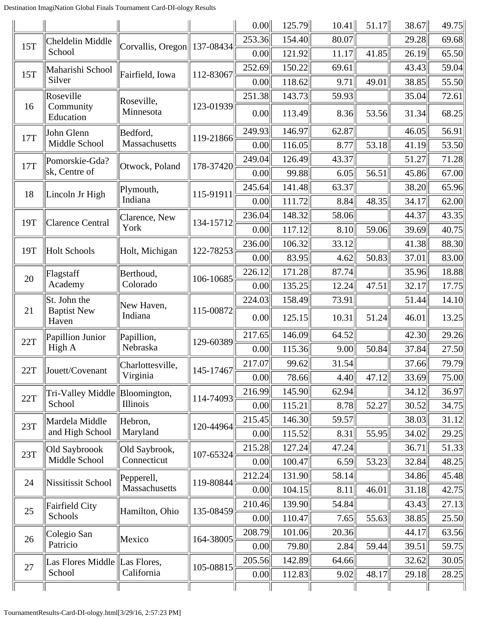|     |                               |                             |           | 0.00   | 125.79 | 10.41 | 51.17 | 38.67 | 49.75 |
|-----|-------------------------------|-----------------------------|-----------|--------|--------|-------|-------|-------|-------|
| 15T | Cheldelin Middle              |                             |           | 253.36 | 154.40 | 80.07 |       | 29.28 | 69.68 |
|     | School                        | Corvallis, Oregon 137-08434 |           | 0.00   | 121.92 | 11.17 | 41.85 | 26.19 | 65.50 |
| 15T | Maharishi School              | Fairfield, Iowa             | 112-83067 | 252.69 | 150.22 | 69.61 |       | 43.43 | 59.04 |
|     | Silver                        |                             |           | 0.00   | 118.62 | 9.71  | 49.01 | 38.85 | 55.50 |
|     | Roseville                     | Roseville,                  |           | 251.38 | 143.73 | 59.93 |       | 35.04 | 72.61 |
| 16  | Community<br>Education        | Minnesota                   | 123-01939 | 0.00   | 113.49 | 8.36  | 53.56 | 31.34 | 68.25 |
| 17T | John Glenn                    | Bedford,                    | 119-21866 | 249.93 | 146.97 | 62.87 |       | 46.05 | 56.91 |
|     | Middle School                 | Massachusetts               |           | 0.00   | 116.05 | 8.77  | 53.18 | 41.19 | 53.50 |
| 17T | Pomorskie-Gda?                | Otwock, Poland              | 178-37420 | 249.04 | 126.49 | 43.37 |       | 51.27 | 71.28 |
|     | sk, Centre of                 |                             |           | 0.00   | 99.88  | 6.05  | 56.51 | 45.86 | 67.00 |
| 18  | Lincoln Jr High               | Plymouth,                   | 115-91911 | 245.64 | 141.48 | 63.37 |       | 38.20 | 65.96 |
|     |                               | Indiana                     |           | 0.00   | 111.72 | 8.84  | 48.35 | 34.17 | 62.00 |
| 19T | <b>Clarence Central</b>       | Clarence, New               | 134-15712 | 236.04 | 148.32 | 58.06 |       | 44.37 | 43.35 |
|     |                               | York                        |           | 0.00   | 117.12 | 8.10  | 59.06 | 39.69 | 40.75 |
| 19T | <b>Holt Schools</b>           |                             | 122-78253 | 236.00 | 106.32 | 33.12 |       | 41.38 | 88.30 |
|     |                               | Holt, Michigan              |           | 0.00   | 83.95  | 4.62  | 50.83 | 37.01 | 83.00 |
|     | Flagstaff                     | Berthoud,                   |           | 226.12 | 171.28 | 87.74 |       | 35.96 | 18.88 |
| 20  | Academy                       | Colorado                    | 106-10685 | 0.00   | 135.25 | 12.24 | 47.51 | 32.17 | 17.75 |
|     | St. John the                  | New Haven,                  |           | 224.03 | 158.49 | 73.91 |       | 51.44 | 14.10 |
| 21  | <b>Baptist New</b><br>Haven   | Indiana                     | 115-00872 | 0.00   | 125.15 | 10.31 | 51.24 | 46.01 | 13.25 |
| 22T | Papillion Junior              | Papillion,                  | 129-60389 | 217.65 | 146.09 | 64.52 |       | 42.30 | 29.26 |
|     | High A                        | Nebraska                    |           | 0.00   | 115.36 | 9.00  | 50.84 | 37.84 | 27.50 |
| 22T | Jouett/Covenant               | Charlottesville,            | 145-17467 | 217.07 | 99.62  | 31.54 |       | 37.66 | 79.79 |
|     |                               | Virginia                    |           | 0.00   | 78.66  | 4.40  | 47.12 | 33.69 | 75.00 |
| 22T | Tri-Valley Middle             | Bloomington,                | 114-74093 | 216.99 | 145.90 | 62.94 |       | 34.12 | 36.97 |
|     | School                        | Illinois                    |           | 0.00   | 115.21 | 8.78  | 52.27 | 30.52 | 34.75 |
| 23T | Mardela Middle                | Hebron,                     |           | 215.45 | 146.30 | 59.57 |       | 38.03 | 31.12 |
|     | and High School               | Maryland                    | 120-44964 | 0.00   | 115.52 | 8.31  | 55.95 | 34.02 | 29.25 |
|     | Old Saybroook                 | Old Saybrook,               |           | 215.28 | 127.24 | 47.24 |       | 36.71 | 51.33 |
| 23T | Middle School                 | Connecticut                 | 107-65324 | 0.00   | 100.47 | 6.59  | 53.23 | 32.84 | 48.25 |
|     |                               | Pepperell,                  |           | 212.24 | 131.90 | 58.14 |       | 34.86 | 45.48 |
| 24  | Nissitissit School            | Massachusetts               | 119-80844 | 0.00   | 104.15 | 8.11  | 46.01 | 31.18 | 42.75 |
|     | <b>Fairfield City</b>         |                             |           | 210.46 | 139.90 | 54.84 |       | 43.43 | 27.13 |
| 25  | Schools                       | Hamilton, Ohio              | 135-08459 | 0.00   | 110.47 | 7.65  | 55.63 | 38.85 | 25.50 |
|     | Colegio San                   |                             |           | 208.79 | 101.06 | 20.36 |       | 44.17 | 63.56 |
| 26  | Patricio                      | Mexico                      | 164-38005 | 0.00   | 79.80  | 2.84  | 59.44 | 39.51 | 59.75 |
|     | Las Flores Middle Las Flores, |                             |           | 205.56 | 142.89 | 64.66 |       | 32.62 | 30.05 |
| 27  | School                        | California                  | 105-08815 | 0.00   | 112.83 | 9.02  | 48.17 | 29.18 | 28.25 |
|     |                               |                             |           |        |        |       |       |       |       |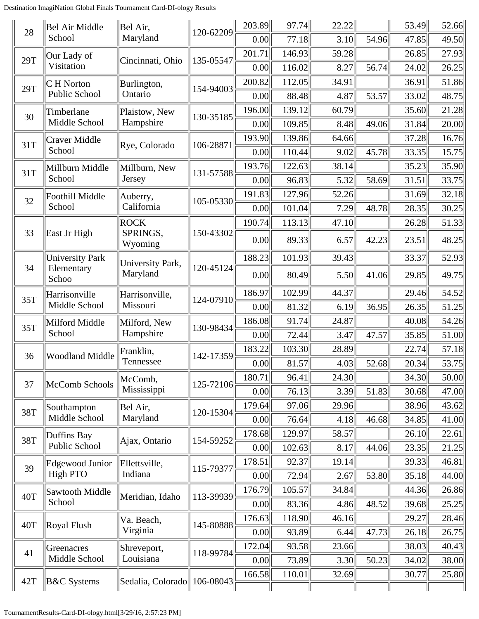| 28  | Bel Air Middle         | Bel Air,                       | 120-62209 | 203.89 | 97.74  | 22.22 |       | 53.49 | 52.66 |
|-----|------------------------|--------------------------------|-----------|--------|--------|-------|-------|-------|-------|
|     | School                 | Maryland                       |           | 0.00   | 77.18  | 3.10  | 54.96 | 47.85 | 49.50 |
| 29T | Our Lady of            | Cincinnati, Ohio               | 135-05547 | 201.71 | 146.93 | 59.28 |       | 26.85 | 27.93 |
|     | Visitation             |                                |           | 0.00   | 116.02 | 8.27  | 56.74 | 24.02 | 26.25 |
| 29T | C H Norton             | Burlington,                    | 154-94003 | 200.82 | 112.05 | 34.91 |       | 36.91 | 51.86 |
|     | Public School          | Ontario                        |           | 0.00   | 88.48  | 4.87  | 53.57 | 33.02 | 48.75 |
| 30  | Timberlane             | Plaistow, New                  | 130-35185 | 196.00 | 139.12 | 60.79 |       | 35.60 | 21.28 |
|     | Middle School          | Hampshire                      |           | 0.00   | 109.85 | 8.48  | 49.06 | 31.84 | 20.00 |
| 31T | <b>Craver Middle</b>   | Rye, Colorado                  | 106-28871 | 193.90 | 139.86 | 64.66 |       | 37.28 | 16.76 |
|     | School                 |                                |           | 0.00   | 110.44 | 9.02  | 45.78 | 33.35 | 15.75 |
| 31T | Millburn Middle        | Millburn, New                  | 131-57588 | 193.76 | 122.63 | 38.14 |       | 35.23 | 35.90 |
|     | School                 | Jersey                         |           | 0.00   | 96.83  | 5.32  | 58.69 | 31.51 | 33.75 |
| 32  | Foothill Middle        | Auberry,                       | 105-05330 | 191.83 | 127.96 | 52.26 |       | 31.69 | 32.18 |
|     | School                 | California                     |           | 0.00   | 101.04 | 7.29  | 48.78 | 28.35 | 30.25 |
|     |                        | <b>ROCK</b>                    |           | 190.74 | 113.13 | 47.10 |       | 26.28 | 51.33 |
| 33  | East Jr High           | SPRINGS,<br>Wyoming            | 150-43302 | 0.00   | 89.33  | 6.57  | 42.23 | 23.51 | 48.25 |
|     | <b>University Park</b> | University Park,               |           | 188.23 | 101.93 | 39.43 |       | 33.37 | 52.93 |
| 34  | Elementary<br>Schoo    | Maryland                       | 120-45124 | 0.00   | 80.49  | 5.50  | 41.06 | 29.85 | 49.75 |
| 35T | Harrisonville          | Harrisonville,                 | 124-07910 | 186.97 | 102.99 | 44.37 |       | 29.46 | 54.52 |
|     | Middle School          | Missouri                       |           | 0.00   | 81.32  | 6.19  | 36.95 | 26.35 | 51.25 |
| 35T | Milford Middle         | Milford, New                   | 130-98434 | 186.08 | 91.74  | 24.87 |       | 40.08 | 54.26 |
|     | School                 | Hampshire                      |           | 0.00   | 72.44  | 3.47  | 47.57 | 35.85 | 51.00 |
| 36  | <b>Woodland Middle</b> | Franklin,                      | 142-17359 | 183.22 | 103.30 | 28.89 |       | 22.74 | 57.18 |
|     |                        | Tennessee                      |           | 0.00   | 81.57  | 4.03  | 52.68 | 20.34 | 53.75 |
| 37  | McComb Schools         | McComb,                        | 125-72106 | 180.71 | 96.41  | 24.30 |       | 34.30 | 50.00 |
|     |                        | Mississippi                    |           | 0.00   | 76.13  | 3.39  | 51.83 | 30.68 | 47.00 |
| 38T | Southampton            | Bel Air,                       | 120-15304 | 179.64 | 97.06  | 29.96 |       | 38.96 | 43.62 |
|     | Middle School          | Maryland                       |           | 0.00   | 76.64  | 4.18  | 46.68 | 34.85 | 41.00 |
| 38T | Duffins Bay            | Ajax, Ontario                  | 154-59252 | 178.68 | 129.97 | 58.57 |       | 26.10 | 22.61 |
|     | Public School          |                                |           | 0.00   | 102.63 | 8.17  | 44.06 | 23.35 | 21.25 |
| 39  | <b>Edgewood Junior</b> | Ellettsville,                  | 115-79377 | 178.51 | 92.37  | 19.14 |       | 39.33 | 46.81 |
|     | <b>High PTO</b>        | Indiana                        |           | 0.00   | 72.94  | 2.67  | 53.80 | 35.18 | 44.00 |
| 40T | Sawtooth Middle        | Meridian, Idaho                | 113-39939 | 176.79 | 105.57 | 34.84 |       | 44.36 | 26.86 |
|     | School                 |                                |           | 0.00   | 83.36  | 4.86  | 48.52 | 39.68 | 25.25 |
| 40T | Royal Flush            | Va. Beach,                     | 145-80888 | 176.63 | 118.90 | 46.16 |       | 29.27 | 28.46 |
|     |                        | Virginia                       |           | 0.00   | 93.89  | 6.44  | 47.73 | 26.18 | 26.75 |
| 41  | Greenacres             | Shreveport,                    | 118-99784 | 172.04 | 93.58  | 23.66 |       | 38.03 | 40.43 |
|     | Middle School          | Louisiana                      |           | 0.00   | 73.89  | 3.30  | 50.23 | 34.02 | 38.00 |
| 42T | <b>B&amp;C</b> Systems | Sedalia, Colorado    106-08043 |           | 166.58 | 110.01 | 32.69 |       | 30.77 | 25.80 |
|     |                        |                                |           |        |        |       |       |       |       |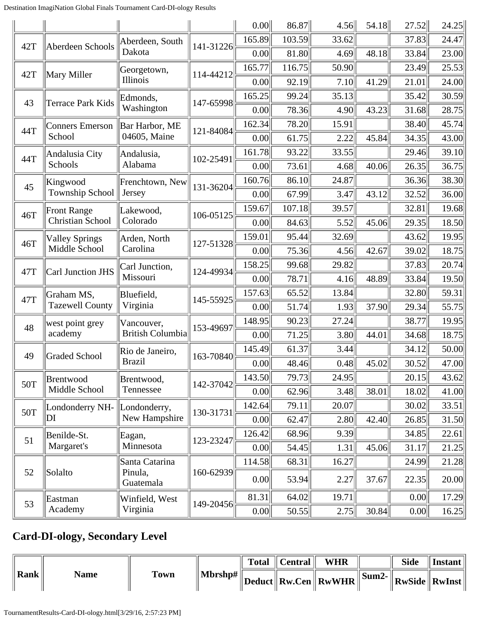|     |                              |                         |           | 0.00   | 86.87  | 4.56  | 54.18 | 27.52 | 24.25 |
|-----|------------------------------|-------------------------|-----------|--------|--------|-------|-------|-------|-------|
| 42T | Aberdeen Schools             | Aberdeen, South         | 141-31226 | 165.89 | 103.59 | 33.62 |       | 37.83 | 24.47 |
|     |                              | Dakota                  |           | 0.00   | 81.80  | 4.69  | 48.18 | 33.84 | 23.00 |
|     |                              | Georgetown,             | 114-44212 | 165.77 | 116.75 | 50.90 |       | 23.49 | 25.53 |
| 42T | Mary Miller                  | Illinois                |           | 0.00   | 92.19  | 7.10  | 41.29 | 21.01 | 24.00 |
|     |                              | Edmonds,                |           | 165.25 | 99.24  | 35.13 |       | 35.42 | 30.59 |
| 43  | <b>Terrace Park Kids</b>     | Washington              | 147-65998 | 0.00   | 78.36  | 4.90  | 43.23 | 31.68 | 28.75 |
| 44T | Conners Emerson              | Bar Harbor, ME          | 121-84084 | 162.34 | 78.20  | 15.91 |       | 38.40 | 45.74 |
|     | School                       | 04605, Maine            |           | 0.00   | 61.75  | 2.22  | 45.84 | 34.35 | 43.00 |
| 44T | Andalusia City               | Andalusia,              | 102-25491 | 161.78 | 93.22  | 33.55 |       | 29.46 | 39.10 |
|     | Schools                      | Alabama                 |           | 0.00   | 73.61  | 4.68  | 40.06 | 26.35 | 36.75 |
| 45  | Kingwood                     | Frenchtown, New         | 131-36204 | 160.76 | 86.10  | 24.87 |       | 36.36 | 38.30 |
|     | <b>Township School</b>       | Jersey                  |           | 0.00   | 67.99  | 3.47  | 43.12 | 32.52 | 36.00 |
| 46T | <b>Front Range</b>           | Lakewood,               |           | 159.67 | 107.18 | 39.57 |       | 32.81 | 19.68 |
|     | Christian School             | Colorado                | 106-05125 | 0.00   | 84.63  | 5.52  | 45.06 | 29.35 | 18.50 |
| 46T | <b>Valley Springs</b>        | Arden, North            |           | 159.01 | 95.44  | 32.69 |       | 43.62 | 19.95 |
|     | Middle School                | Carolina                | 127-51328 | 0.00   | 75.36  | 4.56  | 42.67 | 39.02 | 18.75 |
|     |                              | Carl Junction,          |           | 158.25 | 99.68  | 29.82 |       | 37.83 | 20.74 |
| 47T | Carl Junction JHS            | Missouri                | 124-49934 | 0.00   | 78.71  | 4.16  | 48.89 | 33.84 | 19.50 |
| 47T | Graham MS,                   | Bluefield,              | 145-55925 | 157.63 | 65.52  | 13.84 |       | 32.80 | 59.31 |
|     | <b>Tazewell County</b>       | Virginia                |           | 0.00   | 51.74  | 1.93  | 37.90 | 29.34 | 55.75 |
| 48  | west point grey              | Vancouver,              | 153-49697 | 148.95 | 90.23  | 27.24 |       | 38.77 | 19.95 |
|     | academy                      | <b>British Columbia</b> |           | 0.00   | 71.25  | 3.80  | 44.01 | 34.68 | 18.75 |
| 49  | Graded School                | Rio de Janeiro,         | 163-70840 | 145.49 | 61.37  | 3.44  |       | 34.12 | 50.00 |
|     |                              | <b>Brazil</b>           |           | 0.00   | 48.46  | 0.48  | 45.02 | 30.52 | 47.00 |
| 50T | Brentwood                    | Brentwood,              | 142-37042 | 143.50 | 79.73  | 24.95 |       | 20.15 | 43.62 |
|     | Middle School                | Tennessee               |           | 0.00   | 62.96  | 3.48  | 38.01 | 18.02 | 41.00 |
| 50T | Londonderry NH- Londonderry, |                         | 130-31731 | 142.64 | 79.11  | 20.07 |       | 30.02 | 33.51 |
|     | DІ                           | New Hampshire           |           | 0.00   | 62.47  | 2.80  | 42.40 | 26.85 | 31.50 |
| 51  | Benilde-St.                  | Eagan,                  | 123-23247 | 126.42 | 68.96  | 9.39  |       | 34.85 | 22.61 |
|     | Margaret's                   | Minnesota               |           | 0.00   | 54.45  | 1.31  | 45.06 | 31.17 | 21.25 |
|     |                              | Santa Catarina          |           | 114.58 | 68.31  | 16.27 |       | 24.99 | 21.28 |
| 52  | Solalto                      | Pinula,<br>Guatemala    | 160-62939 | 0.00   | 53.94  | 2.27  | 37.67 | 22.35 | 20.00 |
| 53  | Eastman                      | Winfield, West          |           | 81.31  | 64.02  | 19.71 |       | 0.00  | 17.29 |
|     | Academy                      | Virginia                | 149-20456 | 0.00   | 50.55  | 2.75  | 30.84 | 0.00  | 16.25 |

### **Card-DI-ology, Secondary Level**

|      |             |             |         | Total $\parallel$ Central $\parallel$ | <b>WHR</b>                                                                                                           | <b>Side</b> | Instant |
|------|-------------|-------------|---------|---------------------------------------|----------------------------------------------------------------------------------------------------------------------|-------------|---------|
| Rank | <b>Name</b> | <b>Town</b> | Mbrshp# |                                       | $\mathbb{E}\ \mathbf{Deduct}\ \mathbf{Rw.Cen}\ \mathbf{RwWHR}\ \mathbf{Sum2-}\ \mathbf{RwSide}\ \mathbf{RwInst}\ \ $ |             |         |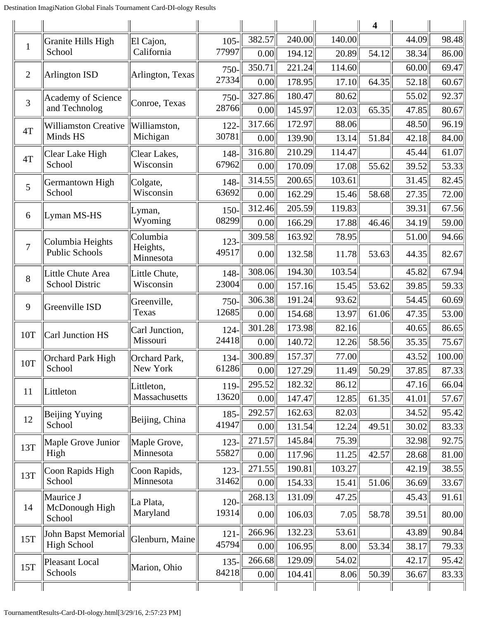|                |                             |                       |         |        |        |        | $\overline{\mathbf{4}}$ |       |        |
|----------------|-----------------------------|-----------------------|---------|--------|--------|--------|-------------------------|-------|--------|
| $\mathbf{1}$   | Granite Hills High          | El Cajon,             | $105 -$ | 382.57 | 240.00 | 140.00 |                         | 44.09 | 98.48  |
|                | School                      | California            | 77997   | 0.00   | 194.12 | 20.89  | 54.12                   | 38.34 | 86.00  |
| $\mathbf{2}$   | <b>Arlington ISD</b>        | Arlington, Texas      | 750-    | 350.71 | 221.24 | 114.60 |                         | 60.00 | 69.47  |
|                |                             |                       | 27334   | 0.00   | 178.95 | 17.10  | 64.35                   | 52.18 | 60.67  |
| 3              | Academy of Science          | Conroe, Texas         | 750-    | 327.86 | 180.47 | 80.62  |                         | 55.02 | 92.37  |
|                | and Technolog               |                       | 28766   | 0.00   | 145.97 | 12.03  | 65.35                   | 47.85 | 80.67  |
| 4T             | <b>Williamston Creative</b> | Williamston,          | $122 -$ | 317.66 | 172.97 | 88.06  |                         | 48.50 | 96.19  |
|                | Minds HS                    | Michigan              | 30781   | 0.00   | 139.90 | 13.14  | 51.84                   | 42.18 | 84.00  |
| 4T             | Clear Lake High             | Clear Lakes,          | 148-    | 316.80 | 210.29 | 114.47 |                         | 45.44 | 61.07  |
|                | School                      | Wisconsin             | 67962   | 0.00   | 170.09 | 17.08  | 55.62                   | 39.52 | 53.33  |
| 5              | Germantown High             | Colgate,              | 148-    | 314.55 | 200.65 | 103.61 |                         | 31.45 | 82.45  |
|                | School                      | Wisconsin             | 63692   | 0.00   | 162.29 | 15.46  | 58.68                   | 27.35 | 72.00  |
| 6              | Lyman MS-HS                 | Lyman,                | $150 -$ | 312.46 | 205.59 | 119.83 |                         | 39.31 | 67.56  |
|                |                             | Wyoming               | 08299   | 0.00   | 166.29 | 17.88  | 46.46                   | 34.19 | 59.00  |
|                | Columbia Heights            | Columbia              | $123 -$ | 309.58 | 163.92 | 78.95  |                         | 51.00 | 94.66  |
| $\overline{7}$ | <b>Public Schools</b>       | Heights,<br>Minnesota | 49517   | 0.00   | 132.58 | 11.78  | 53.63                   | 44.35 | 82.67  |
| 8              | Little Chute Area           | Little Chute,         | 148-    | 308.06 | 194.30 | 103.54 |                         | 45.82 | 67.94  |
|                | School Distric              | Wisconsin             | 23004   | 0.00   | 157.16 | 15.45  | 53.62                   | 39.85 | 59.33  |
| 9              | Greenville ISD              | Greenville,           | 750-    | 306.38 | 191.24 | 93.62  |                         | 54.45 | 60.69  |
|                |                             | Texas                 | 12685   | 0.00   | 154.68 | 13.97  | 61.06                   | 47.35 | 53.00  |
| 10T            | <b>Carl Junction HS</b>     | Carl Junction,        | $124 -$ | 301.28 | 173.98 | 82.16  |                         | 40.65 | 86.65  |
|                |                             | Missouri              | 24418   | 0.00   | 140.72 | 12.26  | 58.56                   | 35.35 | 75.67  |
| 10T            | <b>Orchard Park High</b>    | Orchard Park,         | 134-    | 300.89 | 157.37 | 77.00  |                         | 43.52 | 100.00 |
|                | School                      | New York              | 61286   | 0.00   | 127.29 | 11.49  | 50.29                   | 37.85 | 87.33  |
| 11             | Littleton                   | Littleton,            | 119-    | 295.52 | 182.32 | 86.12  |                         | 47.16 | 66.04  |
|                |                             | Massachusetts         | 13620   | 0.00   | 147.47 | 12.85  | 61.35                   | 41.01 | 57.67  |
| 12             | <b>Beijing Yuying</b>       | Beijing, China        | $185 -$ | 292.57 | 162.63 | 82.03  |                         | 34.52 | 95.42  |
|                | School                      |                       | 41947   | 0.00   | 131.54 | 12.24  | 49.51                   | 30.02 | 83.33  |
| 13T            | Maple Grove Junior          | Maple Grove,          | $123 -$ | 271.57 | 145.84 | 75.39  |                         | 32.98 | 92.75  |
|                | High                        | Minnesota             | 55827   | 0.00   | 117.96 | 11.25  | 42.57                   | 28.68 | 81.00  |
| 13T            | Coon Rapids High            | Coon Rapids,          | $123 -$ | 271.55 | 190.81 | 103.27 |                         | 42.19 | 38.55  |
|                | School                      | Minnesota             | 31462   | 0.00   | 154.33 | 15.41  | 51.06                   | 36.69 | 33.67  |
|                | Maurice J                   | La Plata,             | $120 -$ | 268.13 | 131.09 | 47.25  |                         | 45.43 | 91.61  |
| 14             | McDonough High<br>School    | Maryland              | 19314   | 0.00   | 106.03 | 7.05   | 58.78                   | 39.51 | 80.00  |
| 15T            | John Bapst Memorial         | Glenburn, Maine       | $121 -$ | 266.96 | 132.23 | 53.61  |                         | 43.89 | 90.84  |
|                | <b>High School</b>          |                       | 45794   | 0.00   | 106.95 | 8.00   | 53.34                   | 38.17 | 79.33  |
| 15T            | Pleasant Local              | Marion, Ohio          | $135 -$ | 266.68 | 129.09 | 54.02  |                         | 42.17 | 95.42  |
|                | Schools                     |                       | 84218   | 0.00   | 104.41 | 8.06   | 50.39                   | 36.67 | 83.33  |
|                |                             |                       |         |        |        |        |                         |       |        |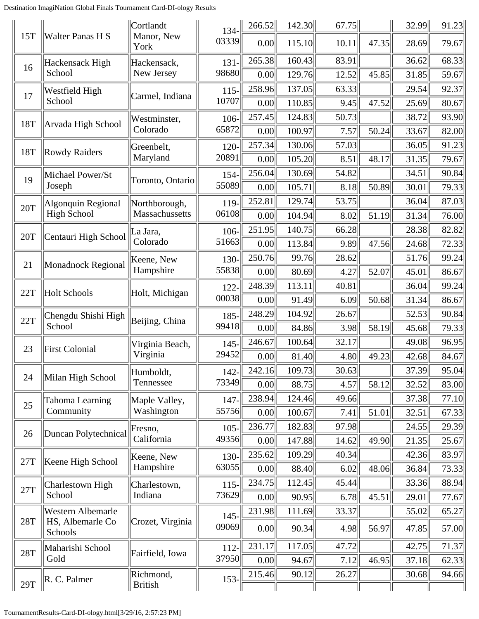|            |                             | Cortlandt                   | $134 - 1$ | 266.52 | 142.30 | 67.75 |       | 32.99 | 91.23 |
|------------|-----------------------------|-----------------------------|-----------|--------|--------|-------|-------|-------|-------|
| 15T        | <b>Walter Panas H S</b>     | Manor, New<br>York          | 03339     | 0.00   | 115.10 | 10.11 | 47.35 | 28.69 | 79.67 |
| 16         | Hackensack High             | Hackensack,                 | $131 -$   | 265.38 | 160.43 | 83.91 |       | 36.62 | 68.33 |
|            | School                      | New Jersey                  | 98680     | 0.00   | 129.76 | 12.52 | 45.85 | 31.85 | 59.67 |
| 17         | Westfield High              | Carmel, Indiana             | $115 -$   | 258.96 | 137.05 | 63.33 |       | 29.54 | 92.37 |
|            | School                      |                             | 10707     | 0.00   | 110.85 | 9.45  | 47.52 | 25.69 | 80.67 |
| 18T        | Arvada High School          | Westminster,                | 106-      | 257.45 | 124.83 | 50.73 |       | 38.72 | 93.90 |
|            |                             | Colorado                    | 65872     | 0.00   | 100.97 | 7.57  | 50.24 | 33.67 | 82.00 |
| 18T        | <b>Rowdy Raiders</b>        | Greenbelt,                  | 120-      | 257.34 | 130.06 | 57.03 |       | 36.05 | 91.23 |
|            |                             | Maryland                    | 20891     | 0.00   | 105.20 | 8.51  | 48.17 | 31.35 | 79.67 |
| 19         | Michael Power/St            | Toronto, Ontario            | 154-      | 256.04 | 130.69 | 54.82 |       | 34.51 | 90.84 |
|            | Joseph                      |                             | 55089     | 0.00   | 105.71 | 8.18  | 50.89 | 30.01 | 79.33 |
| 20T        | Algonquin Regional          | Northborough,               | 119-      | 252.81 | 129.74 | 53.75 |       | 36.04 | 87.03 |
|            | <b>High School</b>          | Massachussetts              | 06108     | 0.00   | 104.94 | 8.02  | 51.19 | 31.34 | 76.00 |
| 20T        | Centauri High School        | La Jara,                    | 106-      | 251.95 | 140.75 | 66.28 |       | 28.38 | 82.82 |
|            |                             | Colorado                    | 51663     | 0.00   | 113.84 | 9.89  | 47.56 | 24.68 | 72.33 |
| 21         | Monadnock Regional          | Keene, New                  | 130-      | 250.76 | 99.76  | 28.62 |       | 51.76 | 99.24 |
|            |                             | Hampshire                   | 55838     | 0.00   | 80.69  | 4.27  | 52.07 | 45.01 | 86.67 |
| 22T        | <b>Holt Schools</b>         | Holt, Michigan              | $122 -$   | 248.39 | 113.11 | 40.81 |       | 36.04 | 99.24 |
|            |                             |                             | 00038     | 0.00   | 91.49  | 6.09  | 50.68 | 31.34 | 86.67 |
| 22T        | Chengdu Shishi High         | Beijing, China              | $185 -$   | 248.29 | 104.92 | 26.67 |       | 52.53 | 90.84 |
|            | School                      |                             | 99418     | 0.00   | 84.86  | 3.98  | 58.19 | 45.68 | 79.33 |
| 23         | <b>First Colonial</b>       | Virginia Beach,             | $145 -$   | 246.67 | 100.64 | 32.17 |       | 49.08 | 96.95 |
|            |                             | Virginia                    | 29452     | 0.00   | 81.40  | 4.80  | 49.23 | 42.68 | 84.67 |
| 24         | Milan High School           | Humboldt,                   | $142 -$   | 242.16 | 109.73 | 30.63 |       | 37.39 | 95.04 |
|            |                             | Tennessee                   | 73349     | 0.00   | 88.75  | 4.57  | 58.12 | 32.52 | 83.00 |
| 25         | <b>Tahoma Learning</b>      | Maple Valley,               | 147-      | 238.94 | 124.46 | 49.66 |       | 37.38 | 77.10 |
|            | Community                   | Washington                  | 55756     | 0.00   | 100.67 | 7.41  | 51.01 | 32.51 | 67.33 |
| 26         | Duncan Polytechnical        | Fresno,                     | $105 -$   | 236.77 | 182.83 | 97.98 |       | 24.55 | 29.39 |
|            |                             | California                  | 49356     | 0.00   | 147.88 | 14.62 | 49.90 | 21.35 | 25.67 |
| 27T        |                             | Keene, New                  | 130-      | 235.62 | 109.29 | 40.34 |       | 42.36 | 83.97 |
|            | Keene High School           | Hampshire                   | 63055     | 0.00   | 88.40  | 6.02  | 48.06 | 36.84 | 73.33 |
| 27T        | Charlestown High            | Charlestown,                | $115 -$   | 234.75 | 112.45 | 45.44 |       | 33.36 | 88.94 |
|            | School                      | Indiana                     | 73629     | 0.00   | 90.95  | 6.78  | 45.51 | 29.01 | 77.67 |
|            | <b>Western Albemarle</b>    |                             | $145 -$   | 231.98 | 111.69 | 33.37 |       | 55.02 | 65.27 |
| 28T        | HS, Albemarle Co<br>Schools | Crozet, Virginia            | 09069     | 0.00   | 90.34  | 4.98  | 56.97 | 47.85 | 57.00 |
| <b>28T</b> | Maharishi School            |                             | $112 -$   | 231.17 | 117.05 | 47.72 |       | 42.75 | 71.37 |
|            | Gold                        | Fairfield, Iowa             | 37950     | 0.00   | 94.67  | 7.12  | 46.95 | 37.18 | 62.33 |
| 29T        | R. C. Palmer                | Richmond,<br><b>British</b> | $153 -$   | 215.46 | 90.12  | 26.27 |       | 30.68 | 94.66 |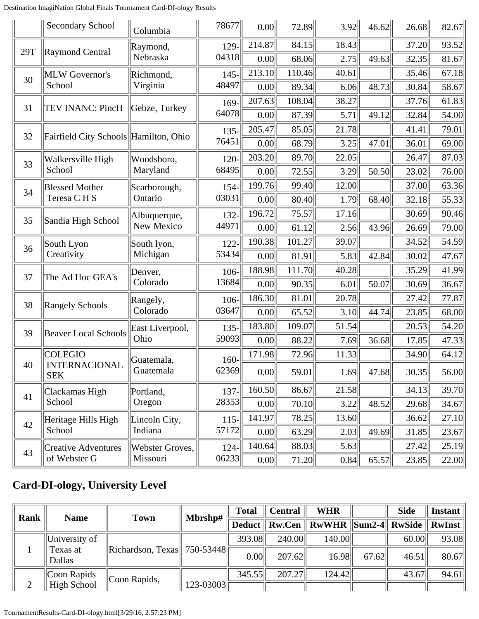Destination ImagiNation Global Finals Tournament Card-DI-ology Results

|     | <b>Secondary School</b>                              | Columbia                              | 78677            | 0.00             | 72.89  | 3.92  | 46.62 | 26.68 | 82.67 |
|-----|------------------------------------------------------|---------------------------------------|------------------|------------------|--------|-------|-------|-------|-------|
| 29T | <b>Raymond Central</b>                               | Raymond,                              | $129 -$<br>04318 | 214.87           | 84.15  | 18.43 |       | 37.20 | 93.52 |
|     |                                                      | Nebraska                              |                  | 0.00             | 68.06  | 2.75  | 49.63 | 32.35 | 81.67 |
| 30  | <b>MLW</b> Governor's<br>School                      | Richmond,                             | $145 -$          | 213.10<br>110.46 |        | 40.61 |       | 35.46 | 67.18 |
|     |                                                      | Virginia                              | 48497            | 0.00             | 89.34  | 6.06  | 48.73 | 30.84 | 58.67 |
| 31  | TEV INANC: PincH                                     | Gebze, Turkey                         | 169-<br>64078    | 207.63           | 108.04 | 38.27 |       | 37.76 | 61.83 |
|     |                                                      |                                       |                  | 0.00             | 87.39  | 5.71  | 49.12 | 32.84 | 54.00 |
| 32  |                                                      | Fairfield City Schools Hamilton, Ohio | $135 -$          | 205.47           | 85.05  | 21.78 |       | 41.41 | 79.01 |
|     |                                                      |                                       | 76451            | 0.00             | 68.79  | 3.25  | 47.01 | 36.01 | 69.00 |
| 33  | Walkersville High<br>School                          | Woodsboro,                            | $120 -$          | 203.20           | 89.70  | 22.05 | 26.47 |       | 87.03 |
|     |                                                      | Maryland                              | 68495            | 0.00             | 72.55  | 3.29  | 50.50 | 23.02 | 76.00 |
| 34  | <b>Blessed Mother</b><br>Teresa CHS                  | Scarborough,<br>Ontario               | 154-             | 199.76           | 99.40  | 12.00 |       | 37.00 | 63.36 |
|     |                                                      |                                       | 03031            | 0.00             | 80.40  | 1.79  | 68.40 | 32.18 | 55.33 |
| 35  | Sandia High School                                   | Albuquerque,<br>New Mexico            | 132-<br>44971    | 196.72           | 75.57  | 17.16 |       | 30.69 | 90.46 |
|     |                                                      |                                       |                  | 0.00             | 61.12  | 2.56  | 43.96 | 26.69 | 79.00 |
| 36  | South Lyon<br>Creativity                             | South lyon,                           | $122 -$          | 190.38           | 101.27 | 39.07 |       | 34.52 | 54.59 |
|     |                                                      | Michigan                              | 53434            | 0.00             | 81.91  | 5.83  | 42.84 | 30.02 | 47.67 |
| 37  | The Ad Hoc GEA's                                     | Denver,<br>Colorado                   | $106-$<br>13684  | 188.98           | 111.70 | 40.28 |       | 35.29 | 41.99 |
|     |                                                      |                                       |                  | 0.00             | 90.35  | 6.01  | 50.07 | 30.69 | 36.67 |
| 38  | <b>Rangely Schools</b>                               | Rangely,<br>Colorado                  | $106-$<br>03647  | 186.30           | 81.01  | 20.78 |       | 27.42 | 77.87 |
|     |                                                      |                                       |                  | 0.00             | 65.52  | 3.10  | 44.74 | 23.85 | 68.00 |
| 39  | <b>Beaver Local Schools</b>                          | East Liverpool,<br>Ohio               | $135 -$<br>59093 | 183.80           | 109.07 | 51.54 |       | 20.53 | 54.20 |
|     |                                                      |                                       |                  | 0.00             | 88.22  | 7.69  | 36.68 | 17.85 | 47.33 |
|     | <b>COLEGIO</b><br><b>INTERNACIONAL</b><br><b>SEK</b> | Guatemala,<br>Guatemala               | 160-<br>62369    | 171.98           | 72.96  | 11.33 |       | 34.90 | 64.12 |
| 40  |                                                      |                                       |                  | 0.00             | 59.01  | 1.69  | 47.68 | 30.35 | 56.00 |
| 41  | Clackamas High<br>School                             | Portland,<br>Oregon                   | $137 -$          | 160.50           | 86.67  | 21.58 |       | 34.13 | 39.70 |
|     |                                                      |                                       | 28353            | 0.00             | 70.10  | 3.22  | 48.52 | 29.68 | 34.67 |
| 42  | Heritage Hills High<br>School                        | Lincoln City,<br>Indiana              | $115 -$<br>57172 | 141.97           | 78.25  | 13.60 |       | 36.62 | 27.10 |
|     |                                                      |                                       |                  | 0.00             | 63.29  | 2.03  | 49.69 | 31.85 | 23.67 |
| 43  | <b>Creative Adventures</b>                           | Webster Groves,                       | $124-$           | 140.64           | 88.03  | 5.63  |       | 27.42 | 25.19 |
|     | of Webster G                                         | Missouri                              | 06233            | 0.00             | 71.20  | 0.84  | 65.57 | 23.85 | 22.00 |

### **Card-DI-ology, University Level**

| Rank | <b>Name</b>                                        |                                                | <b>WHR</b><br>$\parallel$ Central<br><b>Total</b> |        |        | <b>Side</b>                                           | Instant |       |       |
|------|----------------------------------------------------|------------------------------------------------|---------------------------------------------------|--------|--------|-------------------------------------------------------|---------|-------|-------|
|      |                                                    | <b>Town</b>                                    | Mbrshp#                                           |        |        | Deduct    Rw.Cen    RwWHR   Sum2-4   RwSide    RwInst |         |       |       |
|      | University of                                      | Richardson, Texas   750-53448   $\overline{ }$ |                                                   | 393.08 | 240.00 | 140.00                                                |         | 60.00 | 93.08 |
|      | Texas at<br>Dallas                                 |                                                |                                                   | 0.00   | 207.62 | 16.98                                                 | 67.62   | 46.51 | 80.67 |
|      | Coon Rapids<br>$\vert$ Coon Rapids,<br>High School |                                                | 345.55                                            | 207.27 | 124.42 |                                                       | 43.67   | 94.61 |       |
|      |                                                    |                                                | $123 - 03003$                                     |        |        |                                                       |         |       |       |